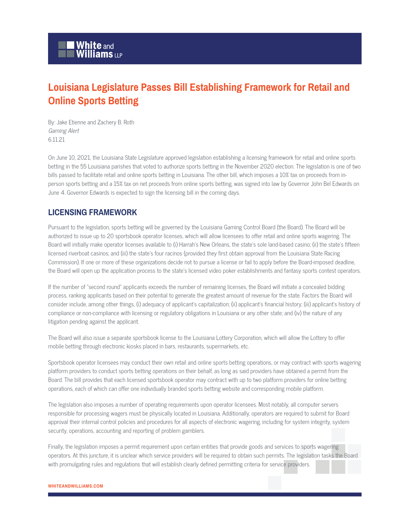## **Louisiana Legislature Passes Bill Establishing Framework for Retail and Online Sports Betting**

By: Jake Etienne and Zachery B. Roth Gaming Alert 6.11.21

On June 10, 2021, the Louisiana State Legislature approved legislation establishing a licensing framework for retail and online sports betting in the 55 Louisiana parishes that voted to authorize sports betting in the November 2020 election. The legislation is one of two bills passed to facilitate retail and online sports betting in Louisiana. The other bill, which imposes a 10% tax on proceeds from inperson sports betting and a 15% tax on net proceeds from online sports betting, was signed into law by Governor John Bel Edwards on June 4. Governor Edwards is expected to sign the licensing bill in the coming days.

## **LICENSING FRAMEWORK**

Pursuant to the legislation, sports betting will be governed by the Louisiana Gaming Control Board (the Board). The Board will be authorized to issue up to 20 sportsbook operator licenses, which will allow licensees to offer retail and online sports wagering. The Board will initially make operator licenses available to (i) Harrah's New Orleans, the state's sole land-based casino; (ii) the state's fifteen licensed riverboat casinos; and (iii) the state's four racinos (provided they first obtain approval from the Louisiana State Racing Commission). If one or more of these organizations decide not to pursue a license or fail to apply before the Board-imposed deadline, the Board will open up the application process to the state's licensed video poker establishments and fantasy sports contest operators.

If the number of "second round" applicants exceeds the number of remaining licenses, the Board will initiate a concealed bidding process, ranking applicants based on their potential to generate the greatest amount of revenue for the state. Factors the Board will consider include, among other things, (i) adequacy of applicant's capitalization; (ii) applicant's financial history; (iii) applicant's history of compliance or non-compliance with licensing or regulatory obligations in Louisiana or any other state; and (iv) the nature of any litigation pending against the applicant.

The Board will also issue a separate sportsbook license to the Louisiana Lottery Corporation, which will allow the Lottery to offer mobile betting through electronic kiosks placed in bars, restaurants, supermarkets, etc.

Sportsbook operator licensees may conduct their own retail and online sports betting operations, or may contract with sports wagering platform providers to conduct sports betting operations on their behalf, as long as said providers have obtained a permit from the Board. The bill provides that each licensed sportsbook operator may contract with up to two platform providers for online betting operations, each of which can offer one individually branded sports betting website and corresponding mobile platform.

The legislation also imposes a number of operating requirements upon operator licensees. Most notably, all computer servers responsible for processing wagers must be physically located in Louisiana. Additionally, operators are required to submit for Board approval their internal control policies and procedures for all aspects of electronic wagering, including for system integrity, system security, operations, accounting and reporting of problem gamblers.

Finally, the legislation imposes a permit requirement upon certain entities that provide goods and services to sports wagering operators. At this juncture, it is unclear which service providers will be required to obtain such permits. The legislation tasks the Board with promulgating rules and regulations that will establish clearly defined permitting criteria for service providers.